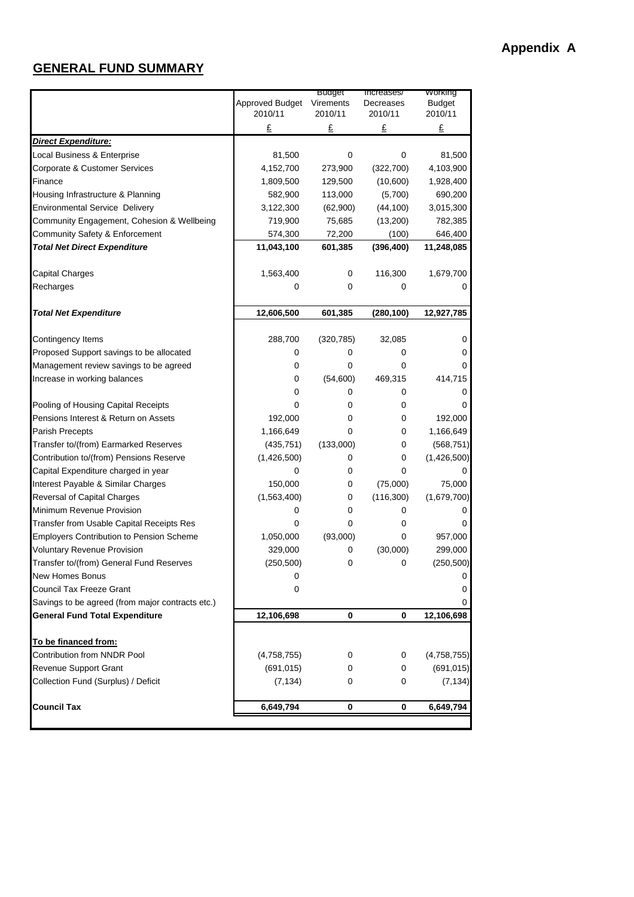## **GENERAL FUND SUMMARY**

|                                                  | Approved Budget | Buaget<br>Virements | increases/<br>Decreases | <b>vvorking</b><br><b>Budget</b> |
|--------------------------------------------------|-----------------|---------------------|-------------------------|----------------------------------|
|                                                  | 2010/11         | 2010/11             | 2010/11                 | 2010/11                          |
|                                                  | £               | £                   | £                       | £                                |
| <b>Direct Expenditure:</b>                       |                 |                     |                         |                                  |
| Local Business & Enterprise                      | 81,500          | 0                   | 0                       | 81,500                           |
| Corporate & Customer Services                    | 4,152,700       | 273,900             | (322, 700)              | 4,103,900                        |
| Finance                                          | 1,809,500       | 129,500             | (10,600)                | 1,928,400                        |
| Housing Infrastructure & Planning                | 582,900         | 113,000             | (5,700)                 | 690,200                          |
| <b>Environmental Service Delivery</b>            | 3,122,300       | (62,900)            | (44, 100)               | 3,015,300                        |
| Community Engagement, Cohesion & Wellbeing       | 719,900         | 75,685              | (13,200)                | 782,385                          |
| Community Safety & Enforcement                   | 574,300         | 72,200              | (100)                   | 646,400                          |
| <b>Total Net Direct Expenditure</b>              | 11,043,100      | 601,385             | (396, 400)              | 11,248,085                       |
| Capital Charges                                  | 1,563,400       | 0                   | 116,300                 | 1,679,700                        |
| Recharges                                        | 0               | 0                   | 0                       |                                  |
| <b>Total Net Expenditure</b>                     | 12,606,500      | 601,385             | (280, 100)              | 12,927,785                       |
|                                                  |                 |                     |                         |                                  |
| Contingency Items                                | 288,700         | (320, 785)          | 32,085                  | 0                                |
| Proposed Support savings to be allocated         | 0               | 0                   | 0                       | 0                                |
| Management review savings to be agreed           | 0               | 0                   | 0                       | 0                                |
| Increase in working balances                     | 0               | (54,600)            | 469,315                 | 414,715                          |
|                                                  | 0               | 0                   | 0                       | 0                                |
| Pooling of Housing Capital Receipts              | 0               | 0                   | 0                       |                                  |
| Pensions Interest & Return on Assets             | 192,000         | 0                   | 0                       | 192,000                          |
| Parish Precepts                                  | 1,166,649       | 0                   | 0                       | 1,166,649                        |
| Transfer to/(from) Earmarked Reserves            | (435, 751)      | (133,000)           | 0                       | (568, 751)                       |
| Contribution to/(from) Pensions Reserve          | (1,426,500)     | 0                   | 0                       | (1,426,500)                      |
| Capital Expenditure charged in year              | 0               | 0                   | 0                       |                                  |
| Interest Payable & Similar Charges               | 150,000         | 0                   | (75,000)                | 75,000                           |
| Reversal of Capital Charges                      | (1,563,400)     | 0                   | (116,300)               | (1,679,700)                      |
| Minimum Revenue Provision                        | 0               | 0                   | 0                       |                                  |
| Transfer from Usable Capital Receipts Res        | 0               | 0                   | 0                       |                                  |
| <b>Employers Contribution to Pension Scheme</b>  | 1,050,000       | (93,000)            | 0                       | 957,000                          |
| <b>Voluntary Revenue Provision</b>               | 329,000         | 0                   | (30,000)                | 299,000                          |
| Transfer to/(from) General Fund Reserves         | (250, 500)      | 0                   | 0                       | (250, 500)                       |
| <b>New Homes Bonus</b>                           | 0               |                     |                         | 0                                |
| Council Tax Freeze Grant                         | 0               |                     |                         | 0                                |
| Savings to be agreed (from major contracts etc.) |                 |                     |                         | 0                                |
| <b>General Fund Total Expenditure</b>            | 12,106,698      | 0                   | 0                       | 12,106,698                       |
| To be financed from:                             |                 |                     |                         |                                  |
| Contribution from NNDR Pool                      | (4,758,755)     | 0                   | 0                       | (4,758,755)                      |
| Revenue Support Grant                            | (691, 015)      | 0                   | 0                       | (691, 015)                       |
| Collection Fund (Surplus) / Deficit              | (7, 134)        | 0                   | 0                       | (7, 134)                         |
| <b>Council Tax</b>                               | 6,649,794       | 0                   | 0                       | 6,649,794                        |
|                                                  |                 |                     |                         |                                  |